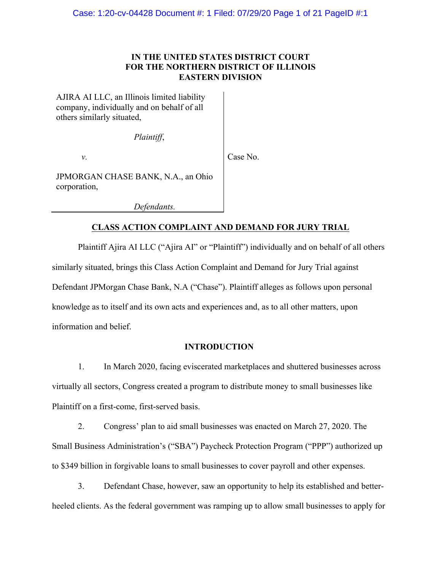## **IN THE UNITED STATES DISTRICT COURT FOR THE NORTHERN DISTRICT OF ILLINOIS EASTERN DIVISION**

AJIRA AI LLC, an Illinois limited liability company, individually and on behalf of all others similarly situated,

*Plaintiff*,

*v.*

Case No.

JPMORGAN CHASE BANK, N.A., an Ohio corporation,

*Defendants.*

## **CLASS ACTION COMPLAINT AND DEMAND FOR JURY TRIAL**

Plaintiff Ajira AI LLC ("Ajira AI" or "Plaintiff") individually and on behalf of all others similarly situated, brings this Class Action Complaint and Demand for Jury Trial against Defendant JPMorgan Chase Bank, N.A ("Chase"). Plaintiff alleges as follows upon personal knowledge as to itself and its own acts and experiences and, as to all other matters, upon information and belief.

## **INTRODUCTION**

1. In March 2020, facing eviscerated marketplaces and shuttered businesses across virtually all sectors, Congress created a program to distribute money to small businesses like Plaintiff on a first-come, first-served basis.

2. Congress' plan to aid small businesses was enacted on March 27, 2020. The Small Business Administration's ("SBA") Paycheck Protection Program ("PPP") authorized up to \$349 billion in forgivable loans to small businesses to cover payroll and other expenses.

3. Defendant Chase, however, saw an opportunity to help its established and betterheeled clients. As the federal government was ramping up to allow small businesses to apply for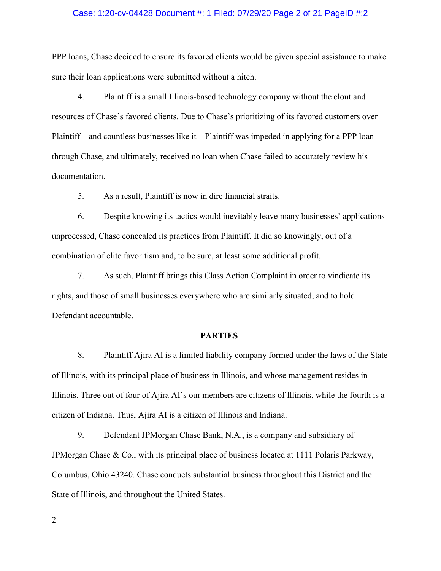#### Case: 1:20-cv-04428 Document #: 1 Filed: 07/29/20 Page 2 of 21 PageID #:2

PPP loans, Chase decided to ensure its favored clients would be given special assistance to make sure their loan applications were submitted without a hitch.

4. Plaintiff is a small Illinois-based technology company without the clout and resources of Chase's favored clients. Due to Chase's prioritizing of its favored customers over Plaintiff—and countless businesses like it—Plaintiff was impeded in applying for a PPP loan through Chase, and ultimately, received no loan when Chase failed to accurately review his documentation.

5. As a result, Plaintiff is now in dire financial straits.

6. Despite knowing its tactics would inevitably leave many businesses' applications unprocessed, Chase concealed its practices from Plaintiff. It did so knowingly, out of a combination of elite favoritism and, to be sure, at least some additional profit.

7. As such, Plaintiff brings this Class Action Complaint in order to vindicate its rights, and those of small businesses everywhere who are similarly situated, and to hold Defendant accountable.

#### **PARTIES**

8. Plaintiff Ajira AI is a limited liability company formed under the laws of the State of Illinois, with its principal place of business in Illinois, and whose management resides in Illinois. Three out of four of Ajira AI's our members are citizens of Illinois, while the fourth is a citizen of Indiana. Thus, Ajira AI is a citizen of Illinois and Indiana.

9. Defendant JPMorgan Chase Bank, N.A., is a company and subsidiary of JPMorgan Chase & Co., with its principal place of business located at 1111 Polaris Parkway, Columbus, Ohio 43240. Chase conducts substantial business throughout this District and the State of Illinois, and throughout the United States.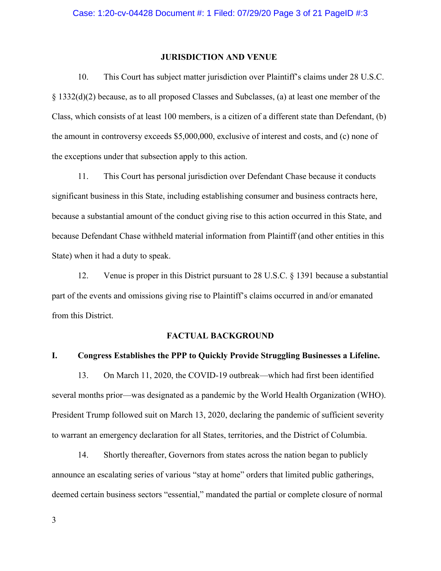## **JURISDICTION AND VENUE**

10. This Court has subject matter jurisdiction over Plaintiff's claims under 28 U.S.C. § 1332(d)(2) because, as to all proposed Classes and Subclasses, (a) at least one member of the Class, which consists of at least 100 members, is a citizen of a different state than Defendant, (b) the amount in controversy exceeds \$5,000,000, exclusive of interest and costs, and (c) none of the exceptions under that subsection apply to this action.

11. This Court has personal jurisdiction over Defendant Chase because it conducts significant business in this State, including establishing consumer and business contracts here, because a substantial amount of the conduct giving rise to this action occurred in this State, and because Defendant Chase withheld material information from Plaintiff (and other entities in this State) when it had a duty to speak.

12. Venue is proper in this District pursuant to 28 U.S.C. § 1391 because a substantial part of the events and omissions giving rise to Plaintiff's claims occurred in and/or emanated from this District.

#### **FACTUAL BACKGROUND**

#### **I. Congress Establishes the PPP to Quickly Provide Struggling Businesses a Lifeline.**

13. On March 11, 2020, the COVID-19 outbreak—which had first been identified several months prior—was designated as a pandemic by the World Health Organization (WHO). President Trump followed suit on March 13, 2020, declaring the pandemic of sufficient severity to warrant an emergency declaration for all States, territories, and the District of Columbia.

14. Shortly thereafter, Governors from states across the nation began to publicly announce an escalating series of various "stay at home" orders that limited public gatherings, deemed certain business sectors "essential," mandated the partial or complete closure of normal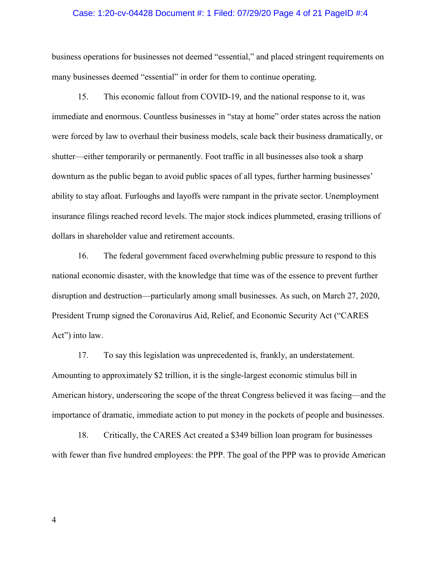#### Case: 1:20-cv-04428 Document #: 1 Filed: 07/29/20 Page 4 of 21 PageID #:4

business operations for businesses not deemed "essential," and placed stringent requirements on many businesses deemed "essential" in order for them to continue operating.

15. This economic fallout from COVID-19, and the national response to it, was immediate and enormous. Countless businesses in "stay at home" order states across the nation were forced by law to overhaul their business models, scale back their business dramatically, or shutter—either temporarily or permanently. Foot traffic in all businesses also took a sharp downturn as the public began to avoid public spaces of all types, further harming businesses' ability to stay afloat. Furloughs and layoffs were rampant in the private sector. Unemployment insurance filings reached record levels. The major stock indices plummeted, erasing trillions of dollars in shareholder value and retirement accounts.

16. The federal government faced overwhelming public pressure to respond to this national economic disaster, with the knowledge that time was of the essence to prevent further disruption and destruction—particularly among small businesses. As such, on March 27, 2020, President Trump signed the Coronavirus Aid, Relief, and Economic Security Act ("CARES Act") into law.

17. To say this legislation was unprecedented is, frankly, an understatement. Amounting to approximately \$2 trillion, it is the single-largest economic stimulus bill in American history, underscoring the scope of the threat Congress believed it was facing—and the importance of dramatic, immediate action to put money in the pockets of people and businesses.

18. Critically, the CARES Act created a \$349 billion loan program for businesses with fewer than five hundred employees: the PPP. The goal of the PPP was to provide American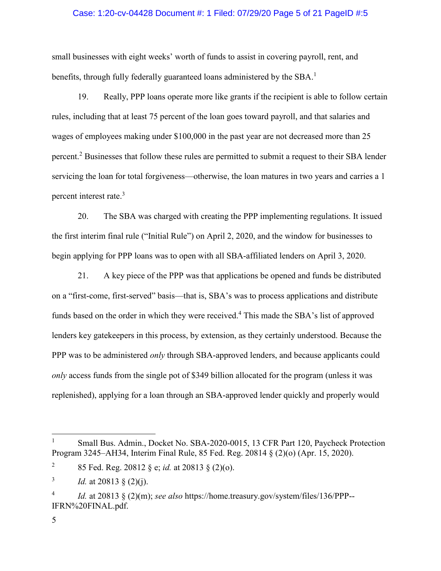### Case: 1:20-cv-04428 Document #: 1 Filed: 07/29/20 Page 5 of 21 PageID #:5

small businesses with eight weeks' worth of funds to assist in covering payroll, rent, and benefits, through fully federally guaranteed loans administered by the SBA.<sup>1</sup>

19. Really, PPP loans operate more like grants if the recipient is able to follow certain rules, including that at least 75 percent of the loan goes toward payroll, and that salaries and wages of employees making under \$100,000 in the past year are not decreased more than 25 percent. <sup>2</sup> Businesses that follow these rules are permitted to submit a request to their SBA lender servicing the loan for total forgiveness—otherwise, the loan matures in two years and carries a 1 percent interest rate.<sup>3</sup>

20. The SBA was charged with creating the PPP implementing regulations. It issued the first interim final rule ("Initial Rule") on April 2, 2020, and the window for businesses to begin applying for PPP loans was to open with all SBA-affiliated lenders on April 3, 2020.

21. A key piece of the PPP was that applications be opened and funds be distributed on a "first-come, first-served" basis—that is, SBA's was to process applications and distribute funds based on the order in which they were received.<sup>4</sup> This made the SBA's list of approved lenders key gatekeepers in this process, by extension, as they certainly understood. Because the PPP was to be administered *only* through SBA-approved lenders, and because applicants could *only* access funds from the single pot of \$349 billion allocated for the program (unless it was replenished), applying for a loan through an SBA-approved lender quickly and properly would

<sup>1</sup> Small Bus. Admin., Docket No. SBA-2020-0015, 13 CFR Part 120, Paycheck Protection Program 3245–AH34, Interim Final Rule, 85 Fed. Reg. 20814 § (2)(o) (Apr. 15, 2020).

<sup>&</sup>lt;sup>2</sup> 85 Fed. Reg. 20812 § e; *id.* at 20813 § (2)(o).

<sup>&</sup>lt;sup>3</sup> *Id.* at 20813 § (2)(j).

<sup>4</sup> *Id.* at 20813 § (2)(m); *see also* https://home.treasury.gov/system/files/136/PPP-- IFRN%20FINAL.pdf.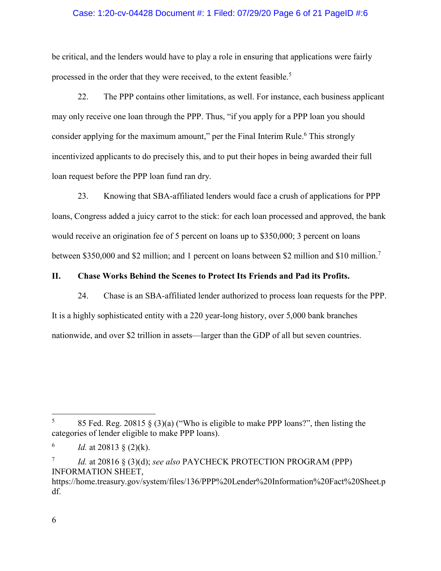### Case: 1:20-cv-04428 Document #: 1 Filed: 07/29/20 Page 6 of 21 PageID #:6

be critical, and the lenders would have to play a role in ensuring that applications were fairly processed in the order that they were received, to the extent feasible.<sup>5</sup>

22. The PPP contains other limitations, as well. For instance, each business applicant may only receive one loan through the PPP. Thus, "if you apply for a PPP loan you should consider applying for the maximum amount," per the Final Interim Rule.<sup>6</sup> This strongly incentivized applicants to do precisely this, and to put their hopes in being awarded their full loan request before the PPP loan fund ran dry.

23. Knowing that SBA-affiliated lenders would face a crush of applications for PPP loans, Congress added a juicy carrot to the stick: for each loan processed and approved, the bank would receive an origination fee of 5 percent on loans up to \$350,000; 3 percent on loans between \$350,000 and \$2 million; and 1 percent on loans between \$2 million and \$10 million.<sup>7</sup>

## **II. Chase Works Behind the Scenes to Protect Its Friends and Pad its Profits.**

24. Chase is an SBA-affiliated lender authorized to process loan requests for the PPP. It is a highly sophisticated entity with a 220 year-long history, over 5,000 bank branches nationwide, and over \$2 trillion in assets—larger than the GDP of all but seven countries.

<sup>7</sup> *Id.* at 20816 § (3)(d); *see also* PAYCHECK PROTECTION PROGRAM (PPP) INFORMATION SHEET, https://home.treasury.gov/system/files/136/PPP%20Lender%20Information%20Fact%20Sheet.p

6

df.

<sup>&</sup>lt;sup>5</sup> 85 Fed. Reg. 20815 § (3)(a) ("Who is eligible to make PPP loans?", then listing the categories of lender eligible to make PPP loans).

 $^{6}$  *Id.* at 20813 § (2)(k).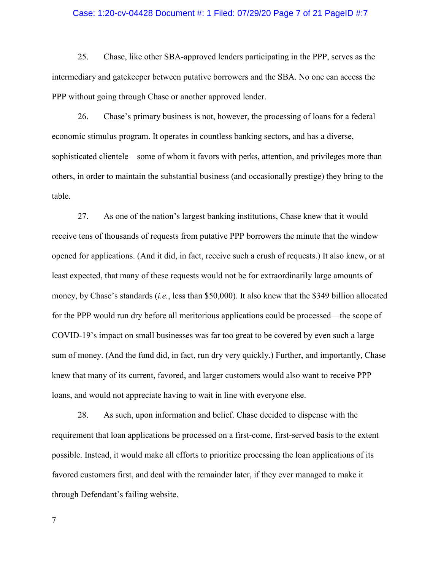#### Case: 1:20-cv-04428 Document #: 1 Filed: 07/29/20 Page 7 of 21 PageID #:7

25. Chase, like other SBA-approved lenders participating in the PPP, serves as the intermediary and gatekeeper between putative borrowers and the SBA. No one can access the PPP without going through Chase or another approved lender.

26. Chase's primary business is not, however, the processing of loans for a federal economic stimulus program. It operates in countless banking sectors, and has a diverse, sophisticated clientele—some of whom it favors with perks, attention, and privileges more than others, in order to maintain the substantial business (and occasionally prestige) they bring to the table.

27. As one of the nation's largest banking institutions, Chase knew that it would receive tens of thousands of requests from putative PPP borrowers the minute that the window opened for applications. (And it did, in fact, receive such a crush of requests.) It also knew, or at least expected, that many of these requests would not be for extraordinarily large amounts of money, by Chase's standards (*i.e.*, less than \$50,000). It also knew that the \$349 billion allocated for the PPP would run dry before all meritorious applications could be processed—the scope of COVID-19's impact on small businesses was far too great to be covered by even such a large sum of money. (And the fund did, in fact, run dry very quickly.) Further, and importantly, Chase knew that many of its current, favored, and larger customers would also want to receive PPP loans, and would not appreciate having to wait in line with everyone else.

28. As such, upon information and belief. Chase decided to dispense with the requirement that loan applications be processed on a first-come, first-served basis to the extent possible. Instead, it would make all efforts to prioritize processing the loan applications of its favored customers first, and deal with the remainder later, if they ever managed to make it through Defendant's failing website.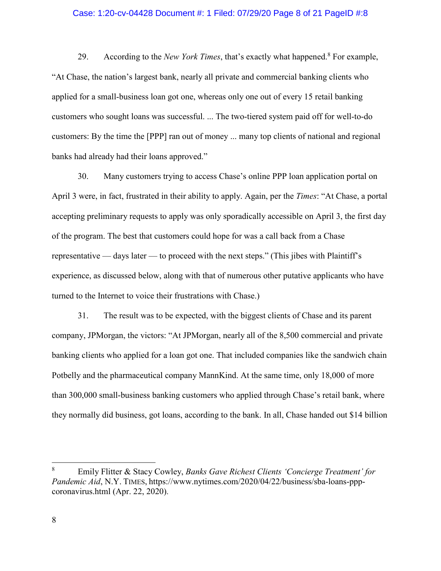#### Case: 1:20-cv-04428 Document #: 1 Filed: 07/29/20 Page 8 of 21 PageID #:8

29. According to the *New York Times*, that's exactly what happened.<sup>8</sup> For example, "At Chase, the nation's largest bank, nearly all private and commercial banking clients who applied for a small-business loan got one, whereas only one out of every 15 retail banking customers who sought loans was successful. ... The two-tiered system paid off for well-to-do customers: By the time the [PPP] ran out of money ... many top clients of national and regional banks had already had their loans approved."

30. Many customers trying to access Chase's online PPP loan application portal on April 3 were, in fact, frustrated in their ability to apply. Again, per the *Times*: "At Chase, a portal accepting preliminary requests to apply was only sporadically accessible on April 3, the first day of the program. The best that customers could hope for was a call back from a Chase representative — days later — to proceed with the next steps." (This jibes with Plaintiff's experience, as discussed below, along with that of numerous other putative applicants who have turned to the Internet to voice their frustrations with Chase.)

31. The result was to be expected, with the biggest clients of Chase and its parent company, JPMorgan, the victors: "At JPMorgan, nearly all of the 8,500 commercial and private banking clients who applied for a loan got one. That included companies like the sandwich chain Potbelly and the pharmaceutical company MannKind. At the same time, only 18,000 of more than 300,000 small-business banking customers who applied through Chase's retail bank, where they normally did business, got loans, according to the bank. In all, Chase handed out \$14 billion

<sup>8</sup> Emily Flitter & Stacy Cowley, *Banks Gave Richest Clients 'Concierge Treatment' for Pandemic Aid*, N.Y. TIMES, https://www.nytimes.com/2020/04/22/business/sba-loans-pppcoronavirus.html (Apr. 22, 2020).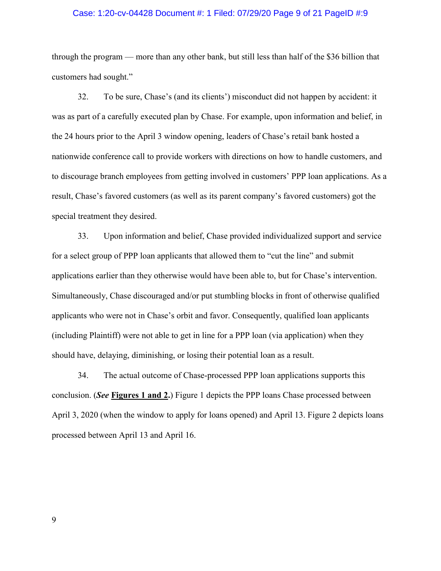#### Case: 1:20-cv-04428 Document #: 1 Filed: 07/29/20 Page 9 of 21 PageID #:9

through the program — more than any other bank, but still less than half of the \$36 billion that customers had sought."

32. To be sure, Chase's (and its clients') misconduct did not happen by accident: it was as part of a carefully executed plan by Chase. For example, upon information and belief, in the 24 hours prior to the April 3 window opening, leaders of Chase's retail bank hosted a nationwide conference call to provide workers with directions on how to handle customers, and to discourage branch employees from getting involved in customers' PPP loan applications. As a result, Chase's favored customers (as well as its parent company's favored customers) got the special treatment they desired.

33. Upon information and belief, Chase provided individualized support and service for a select group of PPP loan applicants that allowed them to "cut the line" and submit applications earlier than they otherwise would have been able to, but for Chase's intervention. Simultaneously, Chase discouraged and/or put stumbling blocks in front of otherwise qualified applicants who were not in Chase's orbit and favor. Consequently, qualified loan applicants (including Plaintiff) were not able to get in line for a PPP loan (via application) when they should have, delaying, diminishing, or losing their potential loan as a result.

34. The actual outcome of Chase-processed PPP loan applications supports this conclusion. (*See* **Figures 1 and 2.**) Figure 1 depicts the PPP loans Chase processed between April 3, 2020 (when the window to apply for loans opened) and April 13. Figure 2 depicts loans processed between April 13 and April 16.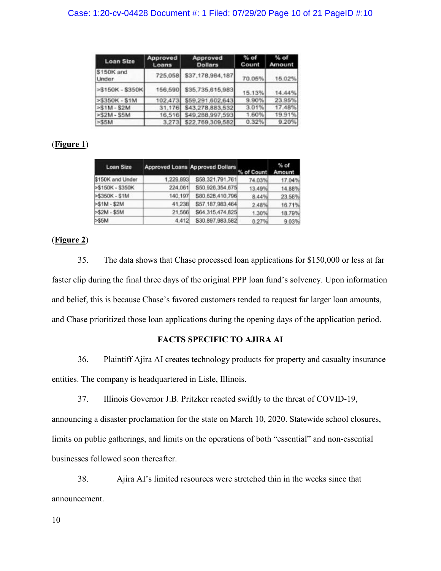| <b>Loan Size</b>           | Approved<br>Loans | Approved<br><b>Dollars</b> | $%$ of<br>Count | $%$ of<br>Amount |
|----------------------------|-------------------|----------------------------|-----------------|------------------|
| \$150K and<br><b>Under</b> | 725,058           | \$37,178,984,187           | 70.05%          | 15.02%           |
| >\$150K - \$350K           | 156,590           | \$35,735,615,983           | 15.13%          | 14.44%           |
| >\$350K - \$1M             | 102,473           | \$59,291,602,643           | 9.90%           | 23.95%           |
| $> 51M - S2M$              | 31,176            | \$43,278,883,532           | 3.01%           | 17.48%           |
| >S2M - S5M                 | 16,516            | \$49,288,997,593           | 1.60%           | 19.91%           |
| $>\times$ 55M              |                   | 3,273 \$22,769,309,582     | 0.32%           | 9.20%            |

## (**Figure 1**)

| Loan Size        |           | <b>Approved Loans Approved Dollars</b> | % of Count Amount | $%$ of |  |
|------------------|-----------|----------------------------------------|-------------------|--------|--|
| \$150K and Under | 1.229,893 | \$58,321,791,761                       | 74.03%            | 17.04% |  |
| >\$150K - \$350K | 224,061   | \$50,926,354,675                       | 13.49%            | 14.88% |  |
| $>\$350K - $1M$  | 140,197   | \$80,628,410,796                       | 8.44%             | 23.56% |  |
| $>51M - 52M$     | 41,238    | \$57,187,983,464                       | 2.48%             | 16.71% |  |
| $>52M - 55M$     | 21,566    | \$64,315,474,825                       | 1.30%             | 18.79% |  |
| $>$ S5M          | 4.412     | \$30,897,983,582                       | 0.27%             | 9.03%  |  |

## (**Figure 2**)

35. The data shows that Chase processed loan applications for \$150,000 or less at far faster clip during the final three days of the original PPP loan fund's solvency. Upon information and belief, this is because Chase's favored customers tended to request far larger loan amounts, and Chase prioritized those loan applications during the opening days of the application period.

## **FACTS SPECIFIC TO AJIRA AI**

36. Plaintiff Ajira AI creates technology products for property and casualty insurance entities. The company is headquartered in Lisle, Illinois.

37. Illinois Governor J.B. Pritzker reacted swiftly to the threat of COVID-19, announcing a disaster proclamation for the state on March 10, 2020. Statewide school closures, limits on public gatherings, and limits on the operations of both "essential" and non-essential businesses followed soon thereafter.

38. Ajira AI's limited resources were stretched thin in the weeks since that announcement.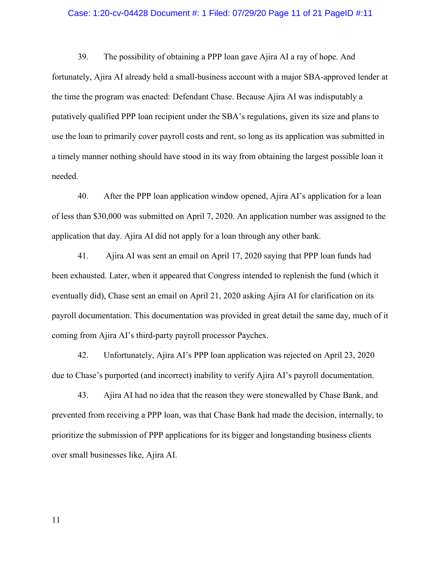#### Case: 1:20-cv-04428 Document #: 1 Filed: 07/29/20 Page 11 of 21 PageID #:11

39. The possibility of obtaining a PPP loan gave Ajira AI a ray of hope. And fortunately, Ajira AI already held a small-business account with a major SBA-approved lender at the time the program was enacted: Defendant Chase. Because Ajira AI was indisputably a putatively qualified PPP loan recipient under the SBA's regulations, given its size and plans to use the loan to primarily cover payroll costs and rent, so long as its application was submitted in a timely manner nothing should have stood in its way from obtaining the largest possible loan it needed.

40. After the PPP loan application window opened, Ajira AI's application for a loan of less than \$30,000 was submitted on April 7, 2020. An application number was assigned to the application that day. Ajira AI did not apply for a loan through any other bank.

41. Ajira AI was sent an email on April 17, 2020 saying that PPP loan funds had been exhausted. Later, when it appeared that Congress intended to replenish the fund (which it eventually did), Chase sent an email on April 21, 2020 asking Ajira AI for clarification on its payroll documentation. This documentation was provided in great detail the same day, much of it coming from Ajira AI's third-party payroll processor Paychex.

42. Unfortunately, Ajira AI's PPP loan application was rejected on April 23, 2020 due to Chase's purported (and incorrect) inability to verify Ajira AI's payroll documentation.

43. Ajira AI had no idea that the reason they were stonewalled by Chase Bank, and prevented from receiving a PPP loan, was that Chase Bank had made the decision, internally, to prioritize the submission of PPP applications for its bigger and longstanding business clients over small businesses like, Ajira AI.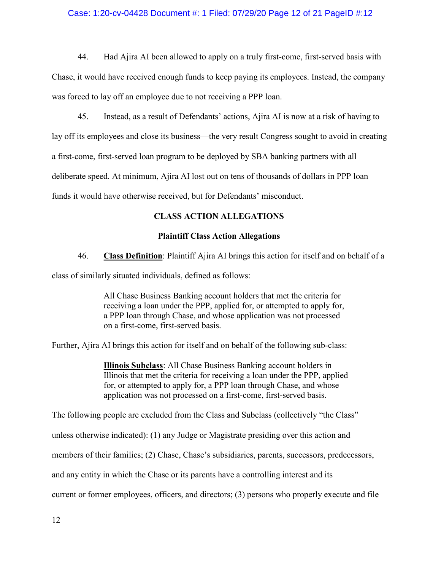## Case: 1:20-cv-04428 Document #: 1 Filed: 07/29/20 Page 12 of 21 PageID #:12

44. Had Ajira AI been allowed to apply on a truly first-come, first-served basis with Chase, it would have received enough funds to keep paying its employees. Instead, the company was forced to lay off an employee due to not receiving a PPP loan.

45. Instead, as a result of Defendants' actions, Ajira AI is now at a risk of having to

lay off its employees and close its business—the very result Congress sought to avoid in creating

a first-come, first-served loan program to be deployed by SBA banking partners with all

deliberate speed. At minimum, Ajira AI lost out on tens of thousands of dollars in PPP loan

funds it would have otherwise received, but for Defendants' misconduct.

## **CLASS ACTION ALLEGATIONS**

### **Plaintiff Class Action Allegations**

46. **Class Definition**: Plaintiff Ajira AI brings this action for itself and on behalf of a

class of similarly situated individuals, defined as follows:

All Chase Business Banking account holders that met the criteria for receiving a loan under the PPP, applied for, or attempted to apply for, a PPP loan through Chase, and whose application was not processed on a first-come, first-served basis.

Further, Ajira AI brings this action for itself and on behalf of the following sub-class:

**Illinois Subclass**: All Chase Business Banking account holders in Illinois that met the criteria for receiving a loan under the PPP, applied for, or attempted to apply for, a PPP loan through Chase, and whose application was not processed on a first-come, first-served basis.

The following people are excluded from the Class and Subclass (collectively "the Class"

unless otherwise indicated): (1) any Judge or Magistrate presiding over this action and

members of their families; (2) Chase, Chase's subsidiaries, parents, successors, predecessors,

and any entity in which the Chase or its parents have a controlling interest and its

current or former employees, officers, and directors; (3) persons who properly execute and file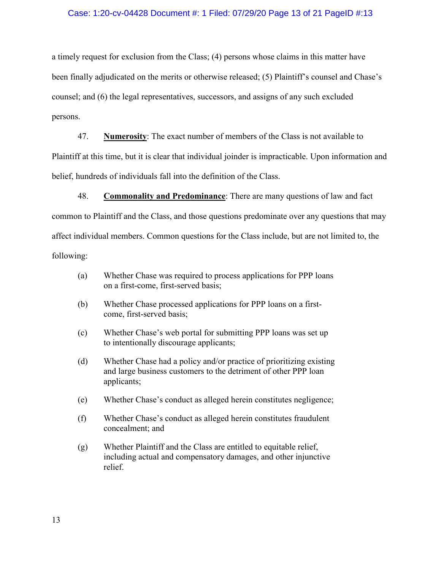#### Case: 1:20-cv-04428 Document #: 1 Filed: 07/29/20 Page 13 of 21 PageID #:13

a timely request for exclusion from the Class; (4) persons whose claims in this matter have been finally adjudicated on the merits or otherwise released; (5) Plaintiff's counsel and Chase's counsel; and (6) the legal representatives, successors, and assigns of any such excluded persons.

47. **Numerosity**: The exact number of members of the Class is not available to Plaintiff at this time, but it is clear that individual joinder is impracticable. Upon information and belief, hundreds of individuals fall into the definition of the Class.

48. **Commonality and Predominance**: There are many questions of law and fact common to Plaintiff and the Class, and those questions predominate over any questions that may affect individual members. Common questions for the Class include, but are not limited to, the following:

- (a) Whether Chase was required to process applications for PPP loans on a first-come, first-served basis;
- (b) Whether Chase processed applications for PPP loans on a firstcome, first-served basis;
- (c) Whether Chase's web portal for submitting PPP loans was set up to intentionally discourage applicants;
- (d) Whether Chase had a policy and/or practice of prioritizing existing and large business customers to the detriment of other PPP loan applicants;
- (e) Whether Chase's conduct as alleged herein constitutes negligence;
- (f) Whether Chase's conduct as alleged herein constitutes fraudulent concealment; and
- (g) Whether Plaintiff and the Class are entitled to equitable relief, including actual and compensatory damages, and other injunctive relief.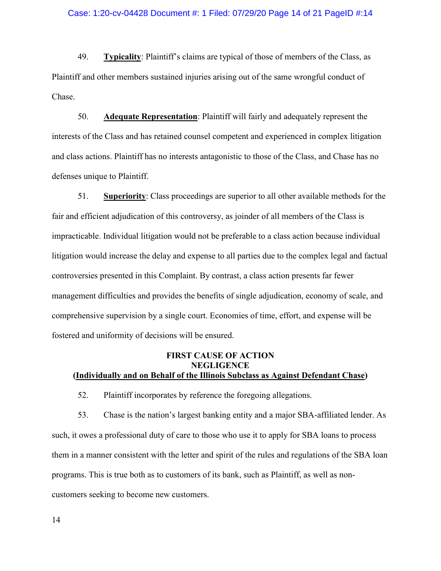49. **Typicality**: Plaintiff's claims are typical of those of members of the Class, as Plaintiff and other members sustained injuries arising out of the same wrongful conduct of Chase.

50. **Adequate Representation**: Plaintiff will fairly and adequately represent the interests of the Class and has retained counsel competent and experienced in complex litigation and class actions. Plaintiff has no interests antagonistic to those of the Class, and Chase has no defenses unique to Plaintiff.

51. **Superiority**: Class proceedings are superior to all other available methods for the fair and efficient adjudication of this controversy, as joinder of all members of the Class is impracticable. Individual litigation would not be preferable to a class action because individual litigation would increase the delay and expense to all parties due to the complex legal and factual controversies presented in this Complaint. By contrast, a class action presents far fewer management difficulties and provides the benefits of single adjudication, economy of scale, and comprehensive supervision by a single court. Economies of time, effort, and expense will be fostered and uniformity of decisions will be ensured.

## **FIRST CAUSE OF ACTION NEGLIGENCE (Individually and on Behalf of the Illinois Subclass as Against Defendant Chase)**

52. Plaintiff incorporates by reference the foregoing allegations.

53. Chase is the nation's largest banking entity and a major SBA-affiliated lender. As such, it owes a professional duty of care to those who use it to apply for SBA loans to process them in a manner consistent with the letter and spirit of the rules and regulations of the SBA loan programs. This is true both as to customers of its bank, such as Plaintiff, as well as noncustomers seeking to become new customers.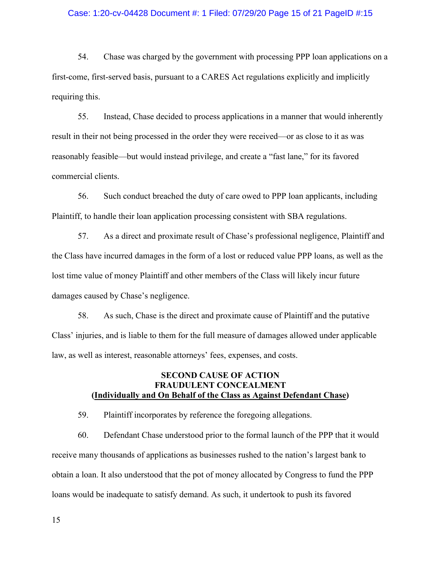#### Case: 1:20-cv-04428 Document #: 1 Filed: 07/29/20 Page 15 of 21 PageID #:15

54. Chase was charged by the government with processing PPP loan applications on a first-come, first-served basis, pursuant to a CARES Act regulations explicitly and implicitly requiring this.

55. Instead, Chase decided to process applications in a manner that would inherently result in their not being processed in the order they were received—or as close to it as was reasonably feasible—but would instead privilege, and create a "fast lane," for its favored commercial clients.

56. Such conduct breached the duty of care owed to PPP loan applicants, including Plaintiff, to handle their loan application processing consistent with SBA regulations.

57. As a direct and proximate result of Chase's professional negligence, Plaintiff and the Class have incurred damages in the form of a lost or reduced value PPP loans, as well as the lost time value of money Plaintiff and other members of the Class will likely incur future damages caused by Chase's negligence.

58. As such, Chase is the direct and proximate cause of Plaintiff and the putative Class' injuries, and is liable to them for the full measure of damages allowed under applicable law, as well as interest, reasonable attorneys' fees, expenses, and costs.

## **SECOND CAUSE OF ACTION FRAUDULENT CONCEALMENT (Individually and On Behalf of the Class as Against Defendant Chase)**

59. Plaintiff incorporates by reference the foregoing allegations.

60. Defendant Chase understood prior to the formal launch of the PPP that it would receive many thousands of applications as businesses rushed to the nation's largest bank to obtain a loan. It also understood that the pot of money allocated by Congress to fund the PPP loans would be inadequate to satisfy demand. As such, it undertook to push its favored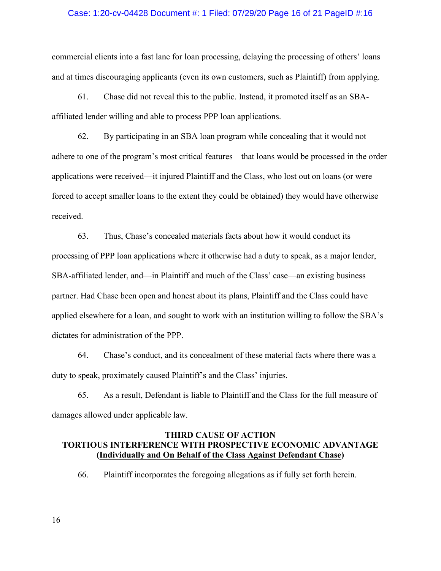#### Case: 1:20-cv-04428 Document #: 1 Filed: 07/29/20 Page 16 of 21 PageID #:16

commercial clients into a fast lane for loan processing, delaying the processing of others' loans and at times discouraging applicants (even its own customers, such as Plaintiff) from applying.

61. Chase did not reveal this to the public. Instead, it promoted itself as an SBAaffiliated lender willing and able to process PPP loan applications.

62. By participating in an SBA loan program while concealing that it would not adhere to one of the program's most critical features—that loans would be processed in the order applications were received—it injured Plaintiff and the Class, who lost out on loans (or were forced to accept smaller loans to the extent they could be obtained) they would have otherwise received.

63. Thus, Chase's concealed materials facts about how it would conduct its processing of PPP loan applications where it otherwise had a duty to speak, as a major lender, SBA-affiliated lender, and—in Plaintiff and much of the Class' case—an existing business partner. Had Chase been open and honest about its plans, Plaintiff and the Class could have applied elsewhere for a loan, and sought to work with an institution willing to follow the SBA's dictates for administration of the PPP.

64. Chase's conduct, and its concealment of these material facts where there was a duty to speak, proximately caused Plaintiff's and the Class' injuries.

65. As a result, Defendant is liable to Plaintiff and the Class for the full measure of damages allowed under applicable law.

## **THIRD CAUSE OF ACTION TORTIOUS INTERFERENCE WITH PROSPECTIVE ECONOMIC ADVANTAGE (Individually and On Behalf of the Class Against Defendant Chase)**

66. Plaintiff incorporates the foregoing allegations as if fully set forth herein.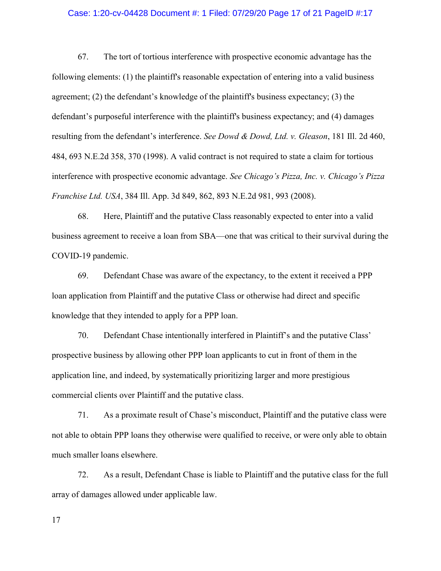#### Case: 1:20-cv-04428 Document #: 1 Filed: 07/29/20 Page 17 of 21 PageID #:17

67. The tort of tortious interference with prospective economic advantage has the following elements: (1) the plaintiff's reasonable expectation of entering into a valid business agreement; (2) the defendant's knowledge of the plaintiff's business expectancy; (3) the defendant's purposeful interference with the plaintiff's business expectancy; and (4) damages resulting from the defendant's interference. *See Dowd & Dowd, Ltd. v. Gleason*, 181 Ill. 2d 460, 484, 693 N.E.2d 358, 370 (1998). A valid contract is not required to state a claim for tortious interference with prospective economic advantage. *See Chicago's Pizza, Inc. v. Chicago's Pizza Franchise Ltd. USA*, 384 Ill. App. 3d 849, 862, 893 N.E.2d 981, 993 (2008).

68. Here, Plaintiff and the putative Class reasonably expected to enter into a valid business agreement to receive a loan from SBA—one that was critical to their survival during the COVID-19 pandemic.

69. Defendant Chase was aware of the expectancy, to the extent it received a PPP loan application from Plaintiff and the putative Class or otherwise had direct and specific knowledge that they intended to apply for a PPP loan.

70. Defendant Chase intentionally interfered in Plaintiff's and the putative Class' prospective business by allowing other PPP loan applicants to cut in front of them in the application line, and indeed, by systematically prioritizing larger and more prestigious commercial clients over Plaintiff and the putative class.

71. As a proximate result of Chase's misconduct, Plaintiff and the putative class were not able to obtain PPP loans they otherwise were qualified to receive, or were only able to obtain much smaller loans elsewhere.

72. As a result, Defendant Chase is liable to Plaintiff and the putative class for the full array of damages allowed under applicable law.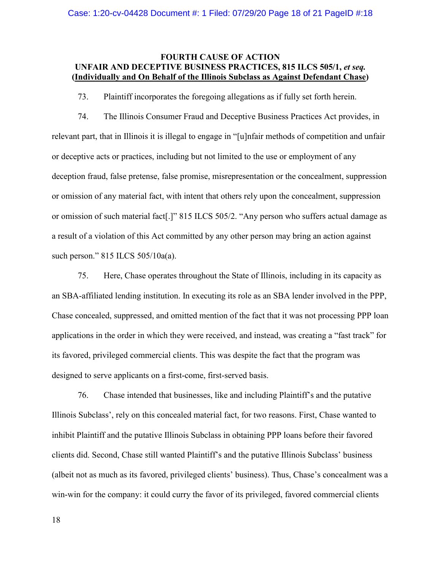## **FOURTH CAUSE OF ACTION UNFAIR AND DECEPTIVE BUSINESS PRACTICES, 815 ILCS 505/1,** *et seq.* **(Individually and On Behalf of the Illinois Subclass as Against Defendant Chase)**

73. Plaintiff incorporates the foregoing allegations as if fully set forth herein.

74. The Illinois Consumer Fraud and Deceptive Business Practices Act provides, in relevant part, that in Illinois it is illegal to engage in "[u]nfair methods of competition and unfair or deceptive acts or practices, including but not limited to the use or employment of any deception fraud, false pretense, false promise, misrepresentation or the concealment, suppression or omission of any material fact, with intent that others rely upon the concealment, suppression or omission of such material fact[.]" 815 ILCS 505/2. "Any person who suffers actual damage as a result of a violation of this Act committed by any other person may bring an action against such person." 815 ILCS 505/10a(a).

75. Here, Chase operates throughout the State of Illinois, including in its capacity as an SBA-affiliated lending institution. In executing its role as an SBA lender involved in the PPP, Chase concealed, suppressed, and omitted mention of the fact that it was not processing PPP loan applications in the order in which they were received, and instead, was creating a "fast track" for its favored, privileged commercial clients. This was despite the fact that the program was designed to serve applicants on a first-come, first-served basis.

76. Chase intended that businesses, like and including Plaintiff's and the putative Illinois Subclass', rely on this concealed material fact, for two reasons. First, Chase wanted to inhibit Plaintiff and the putative Illinois Subclass in obtaining PPP loans before their favored clients did. Second, Chase still wanted Plaintiff's and the putative Illinois Subclass' business (albeit not as much as its favored, privileged clients' business). Thus, Chase's concealment was a win-win for the company: it could curry the favor of its privileged, favored commercial clients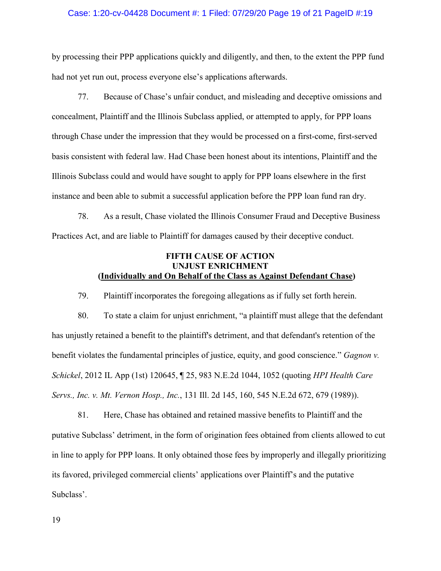#### Case: 1:20-cv-04428 Document #: 1 Filed: 07/29/20 Page 19 of 21 PageID #:19

by processing their PPP applications quickly and diligently, and then, to the extent the PPP fund had not yet run out, process everyone else's applications afterwards.

77. Because of Chase's unfair conduct, and misleading and deceptive omissions and concealment, Plaintiff and the Illinois Subclass applied, or attempted to apply, for PPP loans through Chase under the impression that they would be processed on a first-come, first-served basis consistent with federal law. Had Chase been honest about its intentions, Plaintiff and the Illinois Subclass could and would have sought to apply for PPP loans elsewhere in the first instance and been able to submit a successful application before the PPP loan fund ran dry.

78. As a result, Chase violated the Illinois Consumer Fraud and Deceptive Business Practices Act, and are liable to Plaintiff for damages caused by their deceptive conduct.

## **FIFTH CAUSE OF ACTION UNJUST ENRICHMENT (Individually and On Behalf of the Class as Against Defendant Chase)**

79. Plaintiff incorporates the foregoing allegations as if fully set forth herein.

80. To state a claim for unjust enrichment, "a plaintiff must allege that the defendant has unjustly retained a benefit to the plaintiff's detriment, and that defendant's retention of the benefit violates the fundamental principles of justice, equity, and good conscience." *Gagnon v. Schickel*, 2012 IL App (1st) 120645, ¶ 25, 983 N.E.2d 1044, 1052 (quoting *HPI Health Care Servs., Inc. v. Mt. Vernon Hosp., Inc.*, 131 Ill. 2d 145, 160, 545 N.E.2d 672, 679 (1989)).

81. Here, Chase has obtained and retained massive benefits to Plaintiff and the putative Subclass' detriment, in the form of origination fees obtained from clients allowed to cut in line to apply for PPP loans. It only obtained those fees by improperly and illegally prioritizing its favored, privileged commercial clients' applications over Plaintiff's and the putative Subclass'.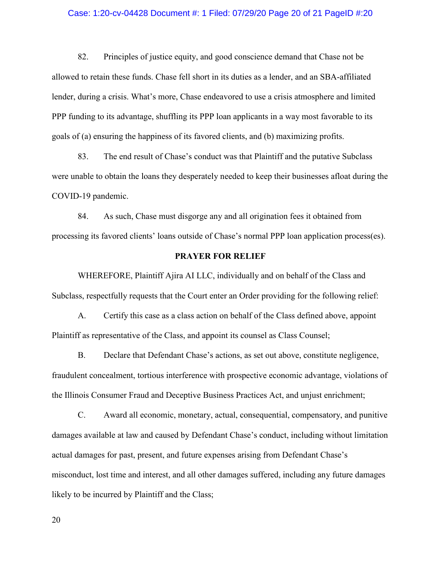#### Case: 1:20-cv-04428 Document #: 1 Filed: 07/29/20 Page 20 of 21 PageID #:20

82. Principles of justice equity, and good conscience demand that Chase not be allowed to retain these funds. Chase fell short in its duties as a lender, and an SBA-affiliated lender, during a crisis. What's more, Chase endeavored to use a crisis atmosphere and limited PPP funding to its advantage, shuffling its PPP loan applicants in a way most favorable to its goals of (a) ensuring the happiness of its favored clients, and (b) maximizing profits.

83. The end result of Chase's conduct was that Plaintiff and the putative Subclass were unable to obtain the loans they desperately needed to keep their businesses afloat during the COVID-19 pandemic.

84. As such, Chase must disgorge any and all origination fees it obtained from processing its favored clients' loans outside of Chase's normal PPP loan application process(es).

#### **PRAYER FOR RELIEF**

WHEREFORE, Plaintiff Ajira AI LLC, individually and on behalf of the Class and Subclass, respectfully requests that the Court enter an Order providing for the following relief:

A. Certify this case as a class action on behalf of the Class defined above, appoint Plaintiff as representative of the Class, and appoint its counsel as Class Counsel;

B. Declare that Defendant Chase's actions, as set out above, constitute negligence, fraudulent concealment, tortious interference with prospective economic advantage, violations of the Illinois Consumer Fraud and Deceptive Business Practices Act, and unjust enrichment;

C. Award all economic, monetary, actual, consequential, compensatory, and punitive damages available at law and caused by Defendant Chase's conduct, including without limitation actual damages for past, present, and future expenses arising from Defendant Chase's misconduct, lost time and interest, and all other damages suffered, including any future damages likely to be incurred by Plaintiff and the Class;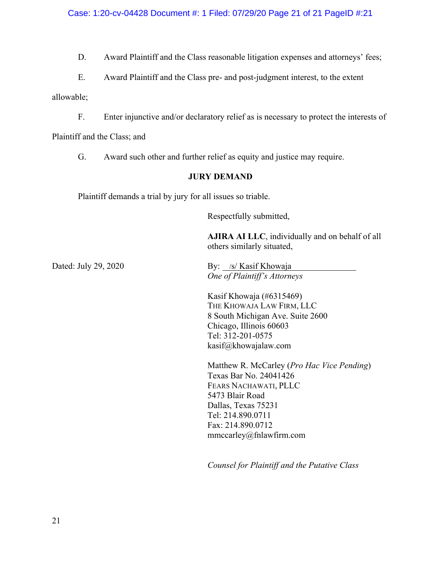D. Award Plaintiff and the Class reasonable litigation expenses and attorneys' fees;

E. Award Plaintiff and the Class pre- and post-judgment interest, to the extent

allowable;

F. Enter injunctive and/or declaratory relief as is necessary to protect the interests of

Plaintiff and the Class; and

G. Award such other and further relief as equity and justice may require.

## **JURY DEMAND**

Plaintiff demands a trial by jury for all issues so triable.

Respectfully submitted,

**AJIRA AI LLC**, individually and on behalf of all others similarly situated,

Dated: July 29, 2020 By: /s/ Kasif Khowaja *One of Plaintiff's Attorneys*

> Kasif Khowaja (#6315469) THE KHOWAJA LAW FIRM, LLC 8 South Michigan Ave. Suite 2600 Chicago, Illinois 60603 Tel: 312-201-0575 kasif@khowajalaw.com

Matthew R. McCarley (*Pro Hac Vice Pending*) Texas Bar No. 24041426 FEARS NACHAWATI, PLLC 5473 Blair Road Dallas, Texas 75231 Tel: 214.890.0711 Fax: 214.890.0712 mmccarley@fnlawfirm.com

*Counsel for Plaintiff and the Putative Class*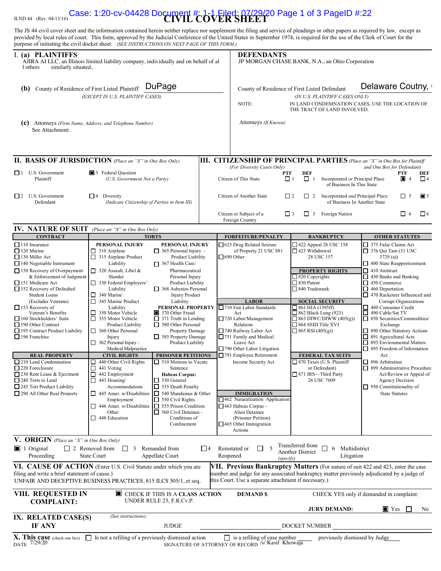# ILND 44 (Rev. 04/13/16) **CIVIL COVER SHEET** Case: 1:20-cv-04428 Document #: 1-1 Filed: 07/29/20 Page 1 of 3 PageID #:22

The JS 44 civil cover sheet and the information contained herein neither replace nor supplement the filing and service of pleadings or other papers as required by law, except as provided by local rules of court. This form, approved by the Judicial Conference of the United States in September 1974, is required for the use of the Clerk of Court for the purpose of initiating the civil docket sheet. *(SEE INSTRUCTIONS ON NEXT PAGE OF THIS FORM.)*

| I. (a) PLAINTIFFS<br>AJIRA AI LLC, an Illinois limited liability company, individually and on behalf of al<br>similarly situated,<br>1 others                                                                                                                                                                                                                                                                                                                                                                                                                                                                                                                      |                                                                                                                                                                                                                                                                                                                                                                                                                                                                                                                                                                                                                                                                                                                                                                                                                                                                                                                                                                                                                                                                                                                                                                                                                                                                                                                                    | <b>DEFENDANTS</b><br>JP MORGAN CHASE BANK, N.A., an Ohio Corporation |                                                                                                                                                                                                                                                                                                                                                                                                                                                                                                                      |                                                                                                                                                                                                                                                                                                                                                                                                                                              |                                                                                                                                                                                                                                                                                                                                                                                                                                                                                                                                                                                                                                                                                               |
|--------------------------------------------------------------------------------------------------------------------------------------------------------------------------------------------------------------------------------------------------------------------------------------------------------------------------------------------------------------------------------------------------------------------------------------------------------------------------------------------------------------------------------------------------------------------------------------------------------------------------------------------------------------------|------------------------------------------------------------------------------------------------------------------------------------------------------------------------------------------------------------------------------------------------------------------------------------------------------------------------------------------------------------------------------------------------------------------------------------------------------------------------------------------------------------------------------------------------------------------------------------------------------------------------------------------------------------------------------------------------------------------------------------------------------------------------------------------------------------------------------------------------------------------------------------------------------------------------------------------------------------------------------------------------------------------------------------------------------------------------------------------------------------------------------------------------------------------------------------------------------------------------------------------------------------------------------------------------------------------------------------|----------------------------------------------------------------------|----------------------------------------------------------------------------------------------------------------------------------------------------------------------------------------------------------------------------------------------------------------------------------------------------------------------------------------------------------------------------------------------------------------------------------------------------------------------------------------------------------------------|----------------------------------------------------------------------------------------------------------------------------------------------------------------------------------------------------------------------------------------------------------------------------------------------------------------------------------------------------------------------------------------------------------------------------------------------|-----------------------------------------------------------------------------------------------------------------------------------------------------------------------------------------------------------------------------------------------------------------------------------------------------------------------------------------------------------------------------------------------------------------------------------------------------------------------------------------------------------------------------------------------------------------------------------------------------------------------------------------------------------------------------------------------|
| DuPage<br>County of Residence of First Listed Plaintiff<br>(b)<br>(EXCEPT IN U.S. PLAINTIFF CASES)                                                                                                                                                                                                                                                                                                                                                                                                                                                                                                                                                                 |                                                                                                                                                                                                                                                                                                                                                                                                                                                                                                                                                                                                                                                                                                                                                                                                                                                                                                                                                                                                                                                                                                                                                                                                                                                                                                                                    |                                                                      | NOTE:                                                                                                                                                                                                                                                                                                                                                                                                                                                                                                                | County of Residence of First Listed Defendant<br>(IN U.S. PLAINTIFF CASES ONLY)<br>THE TRACT OF LAND INVOLVED.                                                                                                                                                                                                                                                                                                                               | Delaware Coutny,<br>IN LAND CONDEMNATION CASES, USE THE LOCATION OF                                                                                                                                                                                                                                                                                                                                                                                                                                                                                                                                                                                                                           |
| (c)<br>See Attachment.                                                                                                                                                                                                                                                                                                                                                                                                                                                                                                                                                                                                                                             | Attorneys (Firm Name, Address, and Telephone Number)                                                                                                                                                                                                                                                                                                                                                                                                                                                                                                                                                                                                                                                                                                                                                                                                                                                                                                                                                                                                                                                                                                                                                                                                                                                                               |                                                                      | Attorneys (If Known)                                                                                                                                                                                                                                                                                                                                                                                                                                                                                                 |                                                                                                                                                                                                                                                                                                                                                                                                                                              |                                                                                                                                                                                                                                                                                                                                                                                                                                                                                                                                                                                                                                                                                               |
|                                                                                                                                                                                                                                                                                                                                                                                                                                                                                                                                                                                                                                                                    | <b>II. BASIS OF JURISDICTION</b> (Place an "X" in One Box Only)                                                                                                                                                                                                                                                                                                                                                                                                                                                                                                                                                                                                                                                                                                                                                                                                                                                                                                                                                                                                                                                                                                                                                                                                                                                                    |                                                                      |                                                                                                                                                                                                                                                                                                                                                                                                                                                                                                                      | III. CITIZENSHIP OF PRINCIPAL PARTIES (Place an "X" in One Box for Plaintiff                                                                                                                                                                                                                                                                                                                                                                 |                                                                                                                                                                                                                                                                                                                                                                                                                                                                                                                                                                                                                                                                                               |
| $\Box$ 1 U.S. Government<br>Plaintiff                                                                                                                                                                                                                                                                                                                                                                                                                                                                                                                                                                                                                              | 3 Federal Question<br>(U.S. Government Not a Party)                                                                                                                                                                                                                                                                                                                                                                                                                                                                                                                                                                                                                                                                                                                                                                                                                                                                                                                                                                                                                                                                                                                                                                                                                                                                                |                                                                      | (For Diversity Cases Only)<br><b>PTF</b><br>Citizen of This State                                                                                                                                                                                                                                                                                                                                                                                                                                                    | <b>DEF</b><br>$\Box$ 1<br>$\Box$ 1<br>Incorporated or Principal Place<br>of Business In This State                                                                                                                                                                                                                                                                                                                                           | and One Box for Defendant)<br><b>PTF</b><br>DEF<br>$\blacksquare$ 4<br>$\Box$ 4                                                                                                                                                                                                                                                                                                                                                                                                                                                                                                                                                                                                               |
| $\Box$ 2 U.S. Government<br>Defendant                                                                                                                                                                                                                                                                                                                                                                                                                                                                                                                                                                                                                              | $\Box$<br>Diversity<br>(Indicate Citizenship of Parties in Item III)                                                                                                                                                                                                                                                                                                                                                                                                                                                                                                                                                                                                                                                                                                                                                                                                                                                                                                                                                                                                                                                                                                                                                                                                                                                               |                                                                      | Citizen of Another State                                                                                                                                                                                                                                                                                                                                                                                                                                                                                             | $\Box$ 2<br>$\Box$ 2 Incorporated <i>and</i> Principal Place<br>of Business In Another State                                                                                                                                                                                                                                                                                                                                                 | $\blacksquare$ 5<br>$\Box$ 5                                                                                                                                                                                                                                                                                                                                                                                                                                                                                                                                                                                                                                                                  |
|                                                                                                                                                                                                                                                                                                                                                                                                                                                                                                                                                                                                                                                                    |                                                                                                                                                                                                                                                                                                                                                                                                                                                                                                                                                                                                                                                                                                                                                                                                                                                                                                                                                                                                                                                                                                                                                                                                                                                                                                                                    |                                                                      | Citizen or Subject of a<br>Foreign Country                                                                                                                                                                                                                                                                                                                                                                                                                                                                           | $\Box$ 3<br>Foreign Nation<br>$\Box$ 3                                                                                                                                                                                                                                                                                                                                                                                                       | $\Box$ 6<br>$\Box$ 6                                                                                                                                                                                                                                                                                                                                                                                                                                                                                                                                                                                                                                                                          |
| <b>IV. NATURE OF SUIT</b> (Place an "X" in One Box Only)                                                                                                                                                                                                                                                                                                                                                                                                                                                                                                                                                                                                           |                                                                                                                                                                                                                                                                                                                                                                                                                                                                                                                                                                                                                                                                                                                                                                                                                                                                                                                                                                                                                                                                                                                                                                                                                                                                                                                                    |                                                                      |                                                                                                                                                                                                                                                                                                                                                                                                                                                                                                                      |                                                                                                                                                                                                                                                                                                                                                                                                                                              |                                                                                                                                                                                                                                                                                                                                                                                                                                                                                                                                                                                                                                                                                               |
| <b>CONTRACT</b>                                                                                                                                                                                                                                                                                                                                                                                                                                                                                                                                                                                                                                                    | <b>TORTS</b>                                                                                                                                                                                                                                                                                                                                                                                                                                                                                                                                                                                                                                                                                                                                                                                                                                                                                                                                                                                                                                                                                                                                                                                                                                                                                                                       |                                                                      | <b>FORFEITURE/PENALTY</b>                                                                                                                                                                                                                                                                                                                                                                                                                                                                                            | <b>BANKRUPTCY</b>                                                                                                                                                                                                                                                                                                                                                                                                                            | <b>OTHER STATUTES</b>                                                                                                                                                                                                                                                                                                                                                                                                                                                                                                                                                                                                                                                                         |
| $\Box$ 110 Insurance<br>$\Box$ 120 Marine<br>$\Box$ 130 Miller Act<br>$\Box$ 140 Negotiable Instrument<br>$\Box$ 150 Recovery of Overpayment<br>& Enforcement of Judgment<br>151 Medicare Act<br>152 Recovery of Defaulted<br><b>Student Loans</b><br>(Excludes Veterans)<br>$\Box$ 153 Recovery of<br>Veteran's Benefits<br>$\Box$ 160 Stockholders' Suits<br>190 Other Contract<br>195 Contract Product Liability<br>$\Box$ 196 Franchise<br><b>REAL PROPERTY</b><br>$\Box$ 210 Land Condemnation<br>$\Box$ 220 Foreclosure<br>230 Rent Lease & Ejectment<br>$\Box$ 240 Torts to Land<br>$\Box$ 245 Tort Product Liability<br>$\Box$ 290 All Other Real Property | PERSONAL INJURY<br>PERSONAL INJURY<br>$\Box$ 310 Airplane<br>$\Box$ 365 Personal Injury -<br>315 Airplane Product<br>Product Liability<br>Liability<br>367 Health Care/<br>$\Box$ 320 Assault, Libel &<br>Pharmaceutical<br>Slander<br>Personal Injury<br>330 Federal Employers'<br>Product Liability<br>Liability<br>$\Box$ 368 Asbestos Personal<br>340 Marine<br><b>Injury Product</b><br>□<br>345 Marine Product<br>Liability<br>□<br>Liability<br>PERSONAL PROPERTY<br>□<br>350 Motor Vehicle<br>370 Other Fraud<br>355 Motor Vehicle<br>$\Box$ 371 Truth in Lending<br>□<br>380 Other Personal<br>Product Liability<br>360 Other Personal<br>Property Damage<br>385 Property Damage<br>Injury<br>$\Box$ 362 Personal Injury -<br>Product Liability<br>Medical Malpractice<br><b>CIVIL RIGHTS</b><br><b>PRISONER PETITIONS</b><br>440 Other Civil Rights<br>$\Box$ 510 Motions to Vacate<br>ப<br>441 Voting<br>0<br>Sentence<br>$\Box$ 442 Employment<br><b>Habeas Corpus:</b><br>443 Housing/<br>530 General<br>ப<br>Accommodations<br>$\Box$ 535 Death Penalty<br>445 Amer. w/Disabilities<br>$\Box$ 540 Mandamus & Other<br>$\Box$ 550 Civil Rights<br>Employment<br>446 Amer. w/Disabilities<br>555 Prison Condition<br>П<br>Other<br>$\Box$ 560 Civil Detainee -<br>$\Box$ 448 Education<br>Conditions of<br>Confinement |                                                                      | $\Box$ 625 Drug Related Seizure<br>of Property 21 USC 881<br>$\Box$ 690 Other<br><b>LABOR</b><br>710 Fair Labor Standards<br>Act<br>720 Labor/Management<br>Relations<br>740 Railway Labor Act<br>$\Box$ 751 Family and Medical<br>Leave Act<br>790 Other Labor Litigation<br>$\Box$ 791 Employee Retirement<br>Income Security Act<br><b>IMMIGRATION</b><br>$\Box$ 462 Naturalization Application<br>$\Box$ 463 Habeas Corpus -<br>Alien Detainee<br>(Prisoner Petition)<br>$\Box$ 465 Other Immigration<br>Actions | $\Box$ 422 Appeal 28 USC 158<br>423 Withdrawal<br>28 USC 157<br><b>PROPERTY RIGHTS</b><br>□ 820 Copyrights<br>□ 830 Patent<br>840 Trademark<br><b>SOCIAL SECURITY</b><br>$\Box$ 861 HIA (1395ff)<br>$\Box$ 862 Black Lung (923)<br>$\Box$ 863 DIWC/DIWW (405(g))<br>$\Box$ 864 SSID Title XVI<br>$\Box$ 865 RSI (405(g))<br><b>FEDERAL TAX SUITS</b><br>□ 870 Taxes (U.S. Plaintiff<br>or Defendant)<br>□ 871 IRS-Third Party<br>26 USC 7609 | □ 375 False Claims Act<br>$\Box$ 376 Qui Tam (31 USC<br>3729(a)<br>$\Box$ 400 State Reapportionment<br>$\Box$ 410 Antitrust<br>$\Box$ 430 Banks and Banking<br>□ 450 Commerce<br>$\Box$ 460 Deportation<br>$\Box$ 470 Racketeer Influenced and<br><b>Corrupt Organizations</b><br>480 Consumer Credit<br>$\Box$ 490 Cable/Sat TV<br>850 Securities/Commodities/<br>Exchange<br>890 Other Statutory Actions<br>□ 891 Agricultural Acts<br>□ 893 Environmental Matters<br>$\Box$ 895 Freedom of Information<br>Act<br>$\Box$ 896 Arbitration<br>□ 899 Administrative Procedure<br>Act/Review or Appeal of<br><b>Agency Decision</b><br>$\Box$ 950 Constitutionality of<br><b>State Statutes</b> |
| V. ORIGIN (Place an "X" in One Box Only)<br>$\blacksquare$ 1 Original<br>Proceeding                                                                                                                                                                                                                                                                                                                                                                                                                                                                                                                                                                                | $\Box$ 2 Removed from<br>Remanded from<br>3<br>$\perp$<br><b>State Court</b><br>Appellate Court<br>VI. CAUSE OF ACTION (Enter U.S. Civil Statute under which you are                                                                                                                                                                                                                                                                                                                                                                                                                                                                                                                                                                                                                                                                                                                                                                                                                                                                                                                                                                                                                                                                                                                                                               | l 14                                                                 | 5<br>Reinstated or<br>$\Box$<br>Reopened<br>(specify)                                                                                                                                                                                                                                                                                                                                                                                                                                                                | Transferred from<br>6 Multidistrict<br>$\Box$<br><b>Another District</b><br>Litigation<br>VII. Previous Bankruptcy Matters (For nature of suit 422 and 423, enter the case                                                                                                                                                                                                                                                                   |                                                                                                                                                                                                                                                                                                                                                                                                                                                                                                                                                                                                                                                                                               |
| filing and write a brief statement of cause.)                                                                                                                                                                                                                                                                                                                                                                                                                                                                                                                                                                                                                      | UNFAIR AND DECEPTIVE BUSINESS PRACTICES, 815 ILCS 505/1, et seq.                                                                                                                                                                                                                                                                                                                                                                                                                                                                                                                                                                                                                                                                                                                                                                                                                                                                                                                                                                                                                                                                                                                                                                                                                                                                   |                                                                      | this Court. Use a separate attachment if necessary.)                                                                                                                                                                                                                                                                                                                                                                                                                                                                 | number and judge for any associated bankruptcy matter previously adjudicated by a judge of                                                                                                                                                                                                                                                                                                                                                   |                                                                                                                                                                                                                                                                                                                                                                                                                                                                                                                                                                                                                                                                                               |
| VIII. REQUESTED IN<br><b>COMPLAINT:</b>                                                                                                                                                                                                                                                                                                                                                                                                                                                                                                                                                                                                                            | CHECK IF THIS IS A CLASS ACTION<br>UNDER RULE 23, F.R.Cv.P.                                                                                                                                                                                                                                                                                                                                                                                                                                                                                                                                                                                                                                                                                                                                                                                                                                                                                                                                                                                                                                                                                                                                                                                                                                                                        |                                                                      | <b>DEMAND \$</b>                                                                                                                                                                                                                                                                                                                                                                                                                                                                                                     | <b>JURY DEMAND:</b>                                                                                                                                                                                                                                                                                                                                                                                                                          | CHECK YES only if demanded in complaint:<br>$\blacksquare$ Yes<br>No.                                                                                                                                                                                                                                                                                                                                                                                                                                                                                                                                                                                                                         |
| IX. RELATED CASE(S)<br>IF ANY                                                                                                                                                                                                                                                                                                                                                                                                                                                                                                                                                                                                                                      | (See instructions):<br><b>JUDGE</b>                                                                                                                                                                                                                                                                                                                                                                                                                                                                                                                                                                                                                                                                                                                                                                                                                                                                                                                                                                                                                                                                                                                                                                                                                                                                                                |                                                                      |                                                                                                                                                                                                                                                                                                                                                                                                                                                                                                                      | DOCKET NUMBER                                                                                                                                                                                                                                                                                                                                                                                                                                |                                                                                                                                                                                                                                                                                                                                                                                                                                                                                                                                                                                                                                                                                               |
| X. This case (check one box)<br>7/29/20<br><b>DATE</b>                                                                                                                                                                                                                                                                                                                                                                                                                                                                                                                                                                                                             | $\Box$ Is not a refiling of a previously dismissed action                                                                                                                                                                                                                                                                                                                                                                                                                                                                                                                                                                                                                                                                                                                                                                                                                                                                                                                                                                                                                                                                                                                                                                                                                                                                          |                                                                      | is a refiling of case number<br>SIGNATURE OF ATTORNEY OF RECORD /s/ Kasif Khowaja                                                                                                                                                                                                                                                                                                                                                                                                                                    | previously dismissed by Judge                                                                                                                                                                                                                                                                                                                                                                                                                |                                                                                                                                                                                                                                                                                                                                                                                                                                                                                                                                                                                                                                                                                               |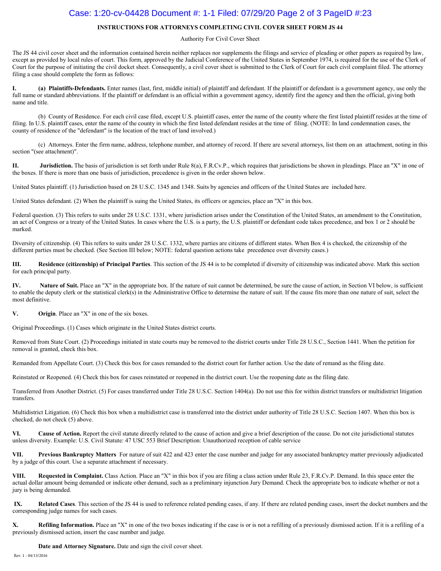## Case: 1:20-cv-04428 Document #: 1-1 Filed: 07/29/20 Page 2 of 3 PageID #:23

#### **INSTRUCTIONS FOR ATTORNEYS COMPLETING CIVIL COVER SHEET FORM JS 44**

#### Authority For Civil Cover Sheet

The JS 44 civil cover sheet and the information contained herein neither replaces nor supplements the filings and service of pleading or other papers as required by law, except as provided by local rules of court. This form, approved by the Judicial Conference of the United States in September 1974, is required for the use of the Clerk of Court for the purpose of initiating the civil docket sheet. Consequently, a civil cover sheet is submitted to the Clerk of Court for each civil complaint filed. The attorney filing a case should complete the form as follows:

**I. (a) Plaintiffs-Defendants.** Enter names (last, first, middle initial) of plaintiff and defendant. If the plaintiff or defendant is a government agency, use only the full name or standard abbreviations. If the plaintiff or defendant is an official within a government agency, identify first the agency and then the official, giving both name and title.

(b) County of Residence. For each civil case filed, except U.S. plaintiff cases, enter the name of the county where the first listed plaintiff resides at the time of filing. In U.S. plaintiff cases, enter the name of the county in which the first listed defendant resides at the time of filing. (NOTE: In land condemnation cases, the county of residence of the "defendant" is the location of the tract of land involved.)

(c) Attorneys. Enter the firm name, address, telephone number, and attorney of record. If there are several attorneys, list them on an attachment, noting in this section "(see attachment)".

**II. Jurisdiction.** The basis of jurisdiction is set forth under Rule 8(a), F.R.Cv.P., which requires that jurisdictions be shown in pleadings. Place an "X" in one of the boxes. If there is more than one basis of jurisdiction, precedence is given in the order shown below.

United States plaintiff. (1) Jurisdiction based on 28 U.S.C. 1345 and 1348. Suits by agencies and officers of the United States are included here.

United States defendant. (2) When the plaintiff is suing the United States, its officers or agencies, place an "X" in this box.

Federal question. (3) This refers to suits under 28 U.S.C. 1331, where jurisdiction arises under the Constitution of the United States, an amendment to the Constitution, an act of Congress or a treaty of the United States. In cases where the U.S. is a party, the U.S. plaintiff or defendant code takes precedence, and box 1 or 2 should be marked.

Diversity of citizenship. (4) This refers to suits under 28 U.S.C. 1332, where parties are citizens of different states. When Box 4 is checked, the citizenship of the different parties must be checked. (See Section III below; NOTE: federal question actions take precedence over diversity cases.)

**III. Residence (citizenship) of Principal Parties**. This section of the JS 44 is to be completed if diversity of citizenship was indicated above. Mark this section for each principal party.

**IV.** Nature of Suit. Place an "X" in the appropriate box. If the nature of suit cannot be determined, be sure the cause of action, in Section VI below, is sufficient to enable the deputy clerk or the statistical clerk(s) in the Administrative Office to determine the nature of suit. If the cause fits more than one nature of suit, select the most definitive.

**V. Origin**. Place an "X" in one of the six boxes.

Original Proceedings. (1) Cases which originate in the United States district courts.

Removed from State Court. (2) Proceedings initiated in state courts may be removed to the district courts under Title 28 U.S.C., Section 1441. When the petition for removal is granted, check this box.

Remanded from Appellate Court. (3) Check this box for cases remanded to the district court for further action. Use the date of remand as the filing date.

Reinstated or Reopened. (4) Check this box for cases reinstated or reopened in the district court. Use the reopening date as the filing date.

Transferred from Another District. (5) For cases transferred under Title 28 U.S.C. Section 1404(a). Do not use this for within district transfers or multidistrict litigation transfers.

Multidistrict Litigation. (6) Check this box when a multidistrict case is transferred into the district under authority of Title 28 U.S.C. Section 1407. When this box is checked, do not check (5) above.

**VI. Cause of Action.** Report the civil statute directly related to the cause of action and give a brief description of the cause. Do not cite jurisdictional statutes unless diversity. Example: U.S. Civil Statute: 47 USC 553 Brief Description: Unauthorized reception of cable service

**VII. Previous Bankruptcy Matters** For nature of suit 422 and 423 enter the case number and judge for any associated bankruptcy matter previously adjudicated by a judge of this court. Use a separate attachment if necessary.

**VIII. Requested in Complaint.** Class Action. Place an "X" in this box if you are filing a class action under Rule 23, F.R.Cv.P. Demand. In this space enter the actual dollar amount being demanded or indicate other demand, such as a preliminary injunction Jury Demand. Check the appropriate box to indicate whether or not a jury is being demanded.

**IX. Related Cases**. This section of the JS 44 is used to reference related pending cases, if any. If there are related pending cases, insert the docket numbers and the corresponding judge names for such cases.

**X. Refiling Information.** Place an "X" in one of the two boxes indicating if the case is or is not a refilling of a previously dismissed action. If it is a refiling of a previously dismissed action, insert the case number and judge.

**Date and Attorney Signature.** Date and sign the civil cover sheet.

Rev. 1 - 04/13/2016